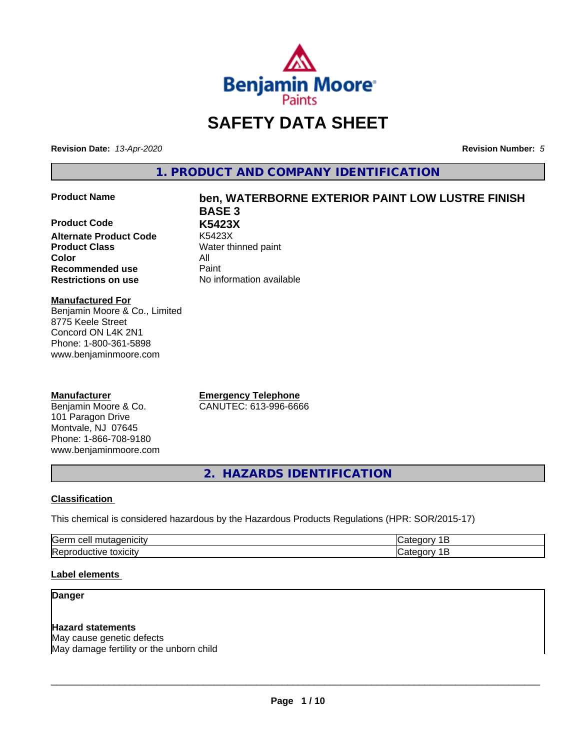

# **SAFETY DATA SHEET**

**Revision Date:** *13-Apr-2020* **Revision Number:** *5*

**1. PRODUCT AND COMPANY IDENTIFICATION**

### **Product Name ben, WATERBORNE EXTERIOR PAINT LOW LUSTRE FINISH**

**Product Code K5423X Alternate Product Code Product Class** Water thinned paint **Color** All **Recommended use** Paint **Restrictions on use** No information available

**BASE 3**

**Manufactured For** Benjamin Moore & Co., Limited 8775 Keele Street Concord ON L4K 2N1 Phone: 1-800-361-5898 www.benjaminmoore.com

### **Manufacturer**

Benjamin Moore & Co. 101 Paragon Drive Montvale, NJ 07645 Phone: 1-866-708-9180 www.benjaminmoore.com

**Emergency Telephone** CANUTEC: 613-996-6666

**2. HAZARDS IDENTIFICATION**

### **Classification**

This chemical is considered hazardous by the Hazardous Products Regulations (HPR: SOR/2015-17)

| <b>Germ</b><br>$\sim$<br><u>_</u><br>. . |  |
|------------------------------------------|--|
| <b>IRet</b><br>*OXICIty<br>11<br>-10     |  |

### **Label elements**

### **Danger**

### **Hazard statements**

May cause genetic defects May damage fertility or the unborn child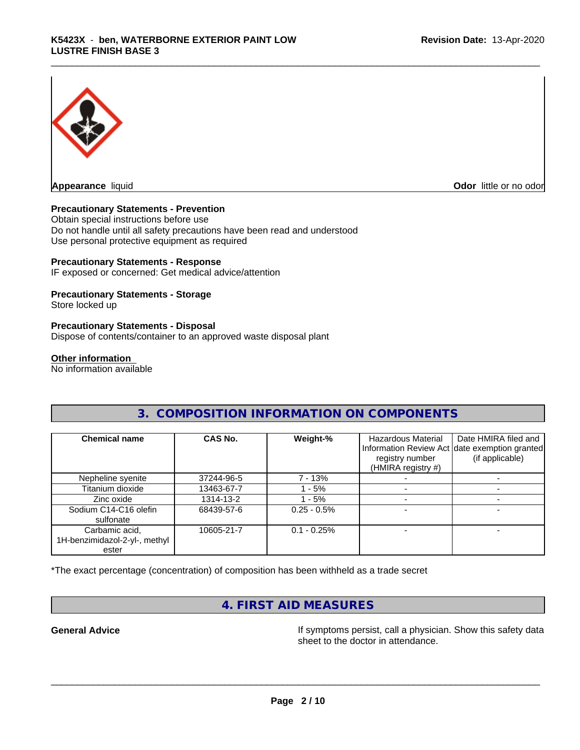

**Odor** little or no odor

### **Precautionary Statements - Prevention**

Obtain special instructions before use Do not handle until all safety precautions have been read and understood Use personal protective equipment as required

### **Precautionary Statements - Response**

IF exposed or concerned: Get medical advice/attention

### **Precautionary Statements - Storage**

Store locked up

### **Precautionary Statements - Disposal**

Dispose of contents/container to an approved waste disposal plant

### **Other information**

No information available

### **3. COMPOSITION INFORMATION ON COMPONENTS**

| <b>Chemical name</b>                                     | CAS No.    | Weight-%       | <b>Hazardous Material</b><br>registry number<br>(HMIRA registry #) | Date HMIRA filed and<br>Information Review Act date exemption granted<br>(if applicable) |
|----------------------------------------------------------|------------|----------------|--------------------------------------------------------------------|------------------------------------------------------------------------------------------|
| Nepheline syenite                                        | 37244-96-5 | 7 - 13%        |                                                                    |                                                                                          |
| Titanium dioxide                                         | 13463-67-7 | $-5%$          |                                                                    |                                                                                          |
| Zinc oxide                                               | 1314-13-2  | - 5%           |                                                                    |                                                                                          |
| Sodium C14-C16 olefin<br>sulfonate                       | 68439-57-6 | $0.25 - 0.5\%$ |                                                                    |                                                                                          |
| Carbamic acid,<br>1H-benzimidazol-2-yl-, methyl<br>ester | 10605-21-7 | $0.1 - 0.25%$  |                                                                    |                                                                                          |

\*The exact percentage (concentration) of composition has been withheld as a trade secret

# **4. FIRST AID MEASURES**

**General Advice If** symptoms persist, call a physician. Show this safety data sheet to the doctor in attendance.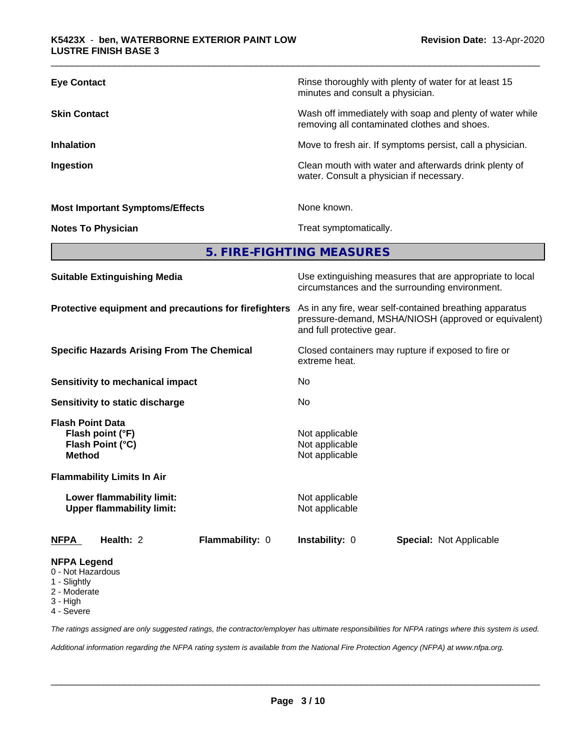| <b>Eye Contact</b><br>Rinse thoroughly with plenty of water for at least 15<br>minutes and consult a physician.<br><b>Skin Contact</b><br>Wash off immediately with soap and plenty of water while<br>removing all contaminated clothes and shoes.<br><b>Inhalation</b><br>Move to fresh air. If symptoms persist, call a physician.<br>Ingestion<br>Clean mouth with water and afterwards drink plenty of<br>water. Consult a physician if necessary.<br>None known.<br><b>Most Important Symptoms/Effects</b><br>Treat symptomatically.<br><b>Notes To Physician</b><br>5. FIRE-FIGHTING MEASURES<br>Use extinguishing measures that are appropriate to local<br><b>Suitable Extinguishing Media</b> |                                                |
|--------------------------------------------------------------------------------------------------------------------------------------------------------------------------------------------------------------------------------------------------------------------------------------------------------------------------------------------------------------------------------------------------------------------------------------------------------------------------------------------------------------------------------------------------------------------------------------------------------------------------------------------------------------------------------------------------------|------------------------------------------------|
|                                                                                                                                                                                                                                                                                                                                                                                                                                                                                                                                                                                                                                                                                                        |                                                |
|                                                                                                                                                                                                                                                                                                                                                                                                                                                                                                                                                                                                                                                                                                        |                                                |
|                                                                                                                                                                                                                                                                                                                                                                                                                                                                                                                                                                                                                                                                                                        |                                                |
|                                                                                                                                                                                                                                                                                                                                                                                                                                                                                                                                                                                                                                                                                                        |                                                |
|                                                                                                                                                                                                                                                                                                                                                                                                                                                                                                                                                                                                                                                                                                        |                                                |
|                                                                                                                                                                                                                                                                                                                                                                                                                                                                                                                                                                                                                                                                                                        |                                                |
|                                                                                                                                                                                                                                                                                                                                                                                                                                                                                                                                                                                                                                                                                                        |                                                |
|                                                                                                                                                                                                                                                                                                                                                                                                                                                                                                                                                                                                                                                                                                        | circumstances and the surrounding environment. |

**Protective equipment and precautions for firefighters** As in any fire, wear self-contained breathing apparatus pressure-demand, MSHA/NIOSH (approved or equivalent) and full protective gear.

**Specific Hazards Arising From The Chemical** Closed containers may rupture ifexposed to fire or extreme heat.

**Sensitivity to mechanical impact** No

**Sensitivity to static discharge** No

**Flash Point Data Flash point (°F)**<br> **Flash Point (°C)**<br> **Flash Point (°C)**<br> **Not** applicable **Flash Point (°C) Method** Not applicable

**Flammability Limits In Air**

**Lower flammability limit:** Not applicable **Upper flammability limit:** Not applicable

**NFPA Health:** 2 **Flammability:** 0 **Instability:** 0 **Special:** Not Applicable

### **NFPA Legend**

- 0 Not Hazardous
- 1 Slightly
- 2 Moderate
- 3 High
- 4 Severe

*The ratings assigned are only suggested ratings, the contractor/employer has ultimate responsibilities for NFPA ratings where this system is used.*

*Additional information regarding the NFPA rating system is available from the National Fire Protection Agency (NFPA) at www.nfpa.org.*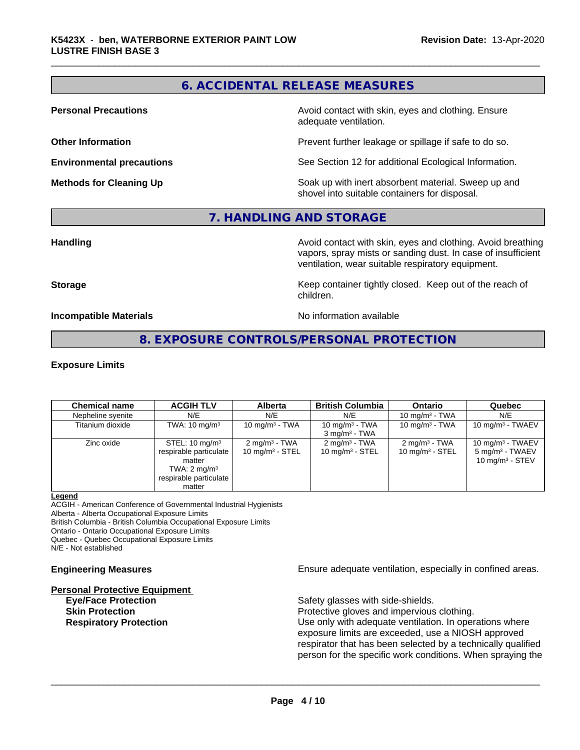### **6. ACCIDENTAL RELEASE MEASURES**

**Personal Precautions Avoid contact with skin, eyes and clothing. Ensure** Avoid contact with skin, eyes and clothing. Ensure adequate ventilation.

**Other Information Determines According to the Prevent further leakage or spillage if safe to do so.** 

**Environmental precautions** See Section 12 for additional Ecological Information.

**Methods for Cleaning Up Example 20 Soak** up with inert absorbent material. Sweep up and shovel into suitable containers for disposal.

### **7. HANDLING AND STORAGE**

**Handling Handling Avoid contact with skin, eyes and clothing. Avoid breathing** vapors, spray mists or sanding dust. In case of insufficient ventilation, wear suitable respiratory equipment.

**Storage Keep container tightly closed. Keep out of the reach of Keep** container tightly closed. Keep out of the reach of children.

**Incompatible Materials Incompatible Materials No information available** 

### **8. EXPOSURE CONTROLS/PERSONAL PROTECTION**

### **Exposure Limits**

| <b>Chemical name</b> | <b>ACGIH TLV</b>                                                                                                             | <b>Alberta</b>                               | <b>British Columbia</b>                       | <b>Ontario</b>                                | Quebec                                                                            |
|----------------------|------------------------------------------------------------------------------------------------------------------------------|----------------------------------------------|-----------------------------------------------|-----------------------------------------------|-----------------------------------------------------------------------------------|
| Nepheline syenite    | N/E                                                                                                                          | N/E                                          | N/E                                           | 10 mg/m $3$ - TWA                             | N/E                                                                               |
| Titanium dioxide     | TWA: $10 \text{ mg/m}^3$                                                                                                     | 10 mg/m $3$ - TWA                            | 10 mg/m $3$ - TWA<br>$3 \text{ mg/m}^3$ - TWA | 10 mg/m $3$ - TWA                             | 10 mg/m $3$ - TWAEV                                                               |
| Zinc oxide           | STEL: $10 \text{ mg/m}^3$<br>respirable particulate<br>matter<br>TWA: $2 \text{ mg/m}^3$<br>respirable particulate<br>matter | $2 \text{mq/m}^3$ - TWA<br>10 $mq/m3$ - STEL | $2 \text{ mg/m}^3$ - TWA<br>10 $mq/m3$ - STEL | $2 \text{ mg/m}^3$ - TWA<br>10 $mq/m3$ - STEL | 10 mg/m $3$ - TWAEV<br>5 mg/m <sup>3</sup> - TWAEV<br>10 mg/m <sup>3</sup> - STEV |

### **Legend**

ACGIH - American Conference of Governmental Industrial Hygienists

Alberta - Alberta Occupational Exposure Limits

British Columbia - British Columbia Occupational Exposure Limits Ontario - Ontario Occupational Exposure Limits

Quebec - Quebec Occupational Exposure Limits

N/E - Not established

### **Personal Protective Equipment**

**Engineering Measures Ensure** Ensure adequate ventilation, especially in confined areas.

**Eye/Face Protection** Safety glasses with side-shields.

 $\overline{\phantom{a}}$  ,  $\overline{\phantom{a}}$  ,  $\overline{\phantom{a}}$  ,  $\overline{\phantom{a}}$  ,  $\overline{\phantom{a}}$  ,  $\overline{\phantom{a}}$  ,  $\overline{\phantom{a}}$  ,  $\overline{\phantom{a}}$  ,  $\overline{\phantom{a}}$  ,  $\overline{\phantom{a}}$  ,  $\overline{\phantom{a}}$  ,  $\overline{\phantom{a}}$  ,  $\overline{\phantom{a}}$  ,  $\overline{\phantom{a}}$  ,  $\overline{\phantom{a}}$  ,  $\overline{\phantom{a}}$ 

**Skin Protection Protection Protective gloves and impervious clothing. Respiratory Protection Number 1** (Use only with adequate ventilation. In operations where exposure limits are exceeded, use a NIOSH approved respirator that has been selected by a technically qualified person for the specific work conditions. When spraying the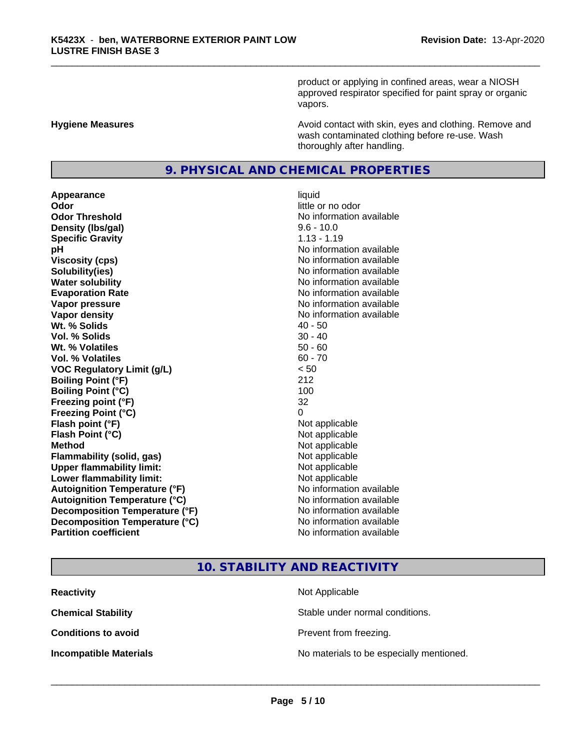product or applying in confined areas, wear a NIOSH approved respirator specified for paint spray or organic vapors.

**Hygiene Measures Avoid contact with skin, eyes and clothing. Remove and Avoid contact with skin, eyes and clothing. Remove and Avoid contact with skin, eyes and clothing. Remove and** wash contaminated clothing before re-use. Wash thoroughly after handling.

### **9. PHYSICAL AND CHEMICAL PROPERTIES**

**Appearance** liquid **Odor**<br> **Odor Threshold**<br> **Odor Threshold**<br> **CODOR**<br> **CODOR**<br> **CODOR**<br> **CODOR**<br> **CODOR**<br> **CODOR**<br> **CODOR**<br> **CODOR**<br> **CODOR**<br> **CODOR Density (lbs/gal)** 9.6 - 10.0 **Specific Gravity** 1.13 - 1.19 **pH pH**  $\blacksquare$ **Viscosity (cps)** No information available **Solubility(ies)** No information available **Water solubility** No information available **Evaporation Rate No information available No information available Vapor pressure** No information available **Vapor density** No information available **Wt.** % Solids 40 - 50 **Vol. % Solids** 30 - 40 **Wt. % Volatiles** 50 - 60 **Vol. % Volatiles** 60 - 70 **VOC Regulatory Limit (g/L)** < 50 **Boiling Point (°F)** 212 **Boiling Point**  $(°C)$  100 **Freezing point (°F)** 32 **Freezing Point (°C)** 0 **Flash point (°F)**<br> **Flash Point (°C)**<br> **Flash Point (°C)**<br> **Not** applicable **Flash Point (°C) Method** Not applicable **Flammability (solid, gas)** Not applicable **Upper flammability limit:** Not applicable **Lower flammability limit:** Not applicable **Autoignition Temperature (°F)** No information available **Autoignition Temperature (°C)** No information available **Decomposition Temperature (°F)**<br> **Decomposition Temperature (°C)** No information available **Decomposition Temperature (°C) Partition coefficient Contract Contract Contract Contract Contract Contract Contract Contract Contract Contract Contract Contract Contract Contract Contract Contract Contract Contract Contract Contract Contract Contract** 

# **No information available**

### **10. STABILITY AND REACTIVITY**

| <b>Reactivity</b>             | Not Applicable                           |
|-------------------------------|------------------------------------------|
| <b>Chemical Stability</b>     | Stable under normal conditions.          |
| <b>Conditions to avoid</b>    | Prevent from freezing.                   |
| <b>Incompatible Materials</b> | No materials to be especially mentioned. |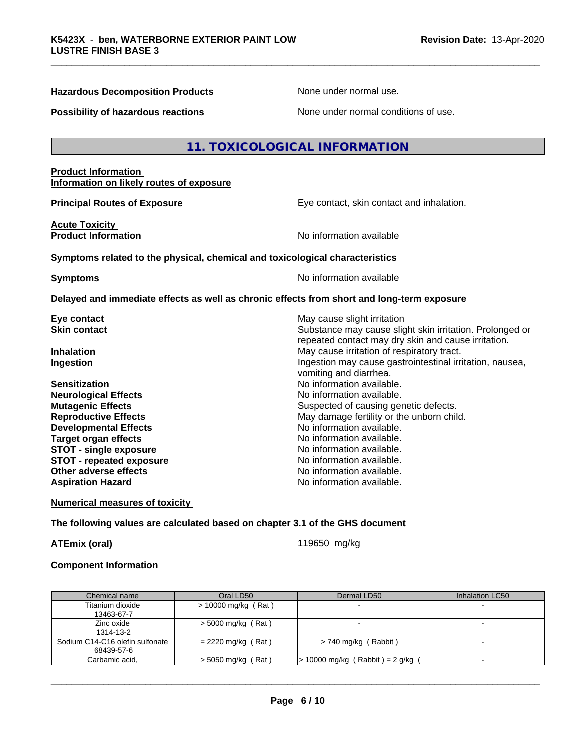### **Hazardous Decomposition Products** None under normal use.

**Possibility of hazardous reactions** None under normal conditions of use.

### **11. TOXICOLOGICAL INFORMATION**

### **Product Information Information on likely routes of exposure**

**Acute Toxicity** 

**Principal Routes of Exposure Exposure** Eye contact, skin contact and inhalation.

Substance may cause slight skin irritation. Prolonged or repeated contact may dry skin and cause irritation.

**Product Information Information No information available** 

### **Symptoms related to the physical,chemical and toxicological characteristics**

**Symptoms** No information available

vomiting and diarrhea.

### **Delayed and immediate effects as well as chronic effects from short and long-term exposure**

**Eye contact**<br> **Exercise Skin contact**<br> **Substance may cause slight irritation**<br> **Substance may cause slight in the Substance may cause slight irritation** 

**Inhalation** May cause irritation of respiratory tract. **Ingestion Ingestion Index is a linear in the line of the line of the line of the line of the line of the line of the line of the line of the line of the line of the line of the line of the line of the line of the line** 

**Sensitization No information available.** No information available. **Neurological Effects** Noinformation available. **Mutagenic Effects** Suspected of causing genetic defects. **Reproductive Effects** May damage fertility or the unborn child.<br> **Developmental Effects** Moinformation available. **Developmental Effects Target organ effects No information available.**<br> **STOT - single exposure No information available. STOT** - single exposure **STOT** - **repeated exposure** *CON* **EXPONDING EXPONDING MOVID MOVID MOVID MOVID MOVID MOVID MOVID MOVID MOVID MOVID MOVID MOVID MOVID MOVID MOVID MOVID MOVID MOVID MOVID MOVID MOVID MOVID MOVID MOVID MOVID MOVID MOVID MO Other adverse effects** No information available. **Aspiration Hazard No information available.** 

**Numerical measures of toxicity**

### **The following values are calculated based on chapter 3.1 of the GHS document**

**ATEmix (oral)** 119650 mg/kg

 $\overline{\phantom{a}}$  ,  $\overline{\phantom{a}}$  ,  $\overline{\phantom{a}}$  ,  $\overline{\phantom{a}}$  ,  $\overline{\phantom{a}}$  ,  $\overline{\phantom{a}}$  ,  $\overline{\phantom{a}}$  ,  $\overline{\phantom{a}}$  ,  $\overline{\phantom{a}}$  ,  $\overline{\phantom{a}}$  ,  $\overline{\phantom{a}}$  ,  $\overline{\phantom{a}}$  ,  $\overline{\phantom{a}}$  ,  $\overline{\phantom{a}}$  ,  $\overline{\phantom{a}}$  ,  $\overline{\phantom{a}}$ 

### **Component Information**

| Chemical name                   | Oral LD50            | Dermal LD50                         | Inhalation LC50 |
|---------------------------------|----------------------|-------------------------------------|-----------------|
| Titanium dioxide                | > 10000 mg/kg (Rat)  |                                     |                 |
| 13463-67-7                      |                      |                                     |                 |
| Zinc oxide                      | $>$ 5000 mg/kg (Rat) |                                     |                 |
| 1314-13-2                       |                      |                                     |                 |
| Sodium C14-C16 olefin sulfonate | $= 2220$ mg/kg (Rat) | $> 740$ mg/kg (Rabbit)              |                 |
| 68439-57-6                      |                      |                                     |                 |
| Carbamic acid.                  | $>$ 5050 mg/kg (Rat) | $> 10000$ mg/kg (Rabbit) = 2 g/kg ( |                 |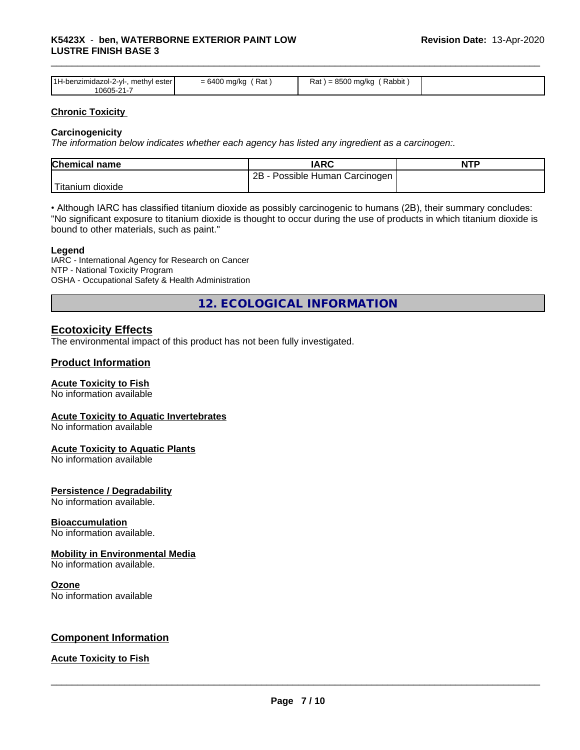| 1H-benzimiu.<br>ester<br>™ethvl .<br>dazol-2-vl-<br>0605-21-7 | Rat<br><u>— h</u><br>___ | 0.0000<br>Rat<br>mg/kc<br>Rabbit<br>. |  |
|---------------------------------------------------------------|--------------------------|---------------------------------------|--|

### **Chronic Toxicity**

### **Carcinogenicity**

*The information below indicateswhether each agency has listed any ingredient as a carcinogen:.*

| <b>Chemical name</b> | <b>IARC</b>                     | <b>NTP</b> |
|----------------------|---------------------------------|------------|
|                      | 2B<br>Possible Human Carcinogen |            |
| Titanium<br>dioxide  |                                 |            |

• Although IARC has classified titanium dioxide as possibly carcinogenic to humans (2B), their summary concludes: "No significant exposure to titanium dioxide is thought to occur during the use of products in which titanium dioxide is bound to other materials, such as paint."

### **Legend**

IARC - International Agency for Research on Cancer NTP - National Toxicity Program OSHA - Occupational Safety & Health Administration

**12. ECOLOGICAL INFORMATION**

### **Ecotoxicity Effects**

The environmental impact of this product has not been fully investigated.

### **Product Information**

### **Acute Toxicity to Fish**

No information available

### **Acute Toxicity to Aquatic Invertebrates**

No information available

### **Acute Toxicity to Aquatic Plants**

No information available

### **Persistence / Degradability**

No information available.

### **Bioaccumulation**

No information available.

### **Mobility in Environmental Media**

No information available.

### **Ozone**

No information available

### **Component Information**

### **Acute Toxicity to Fish**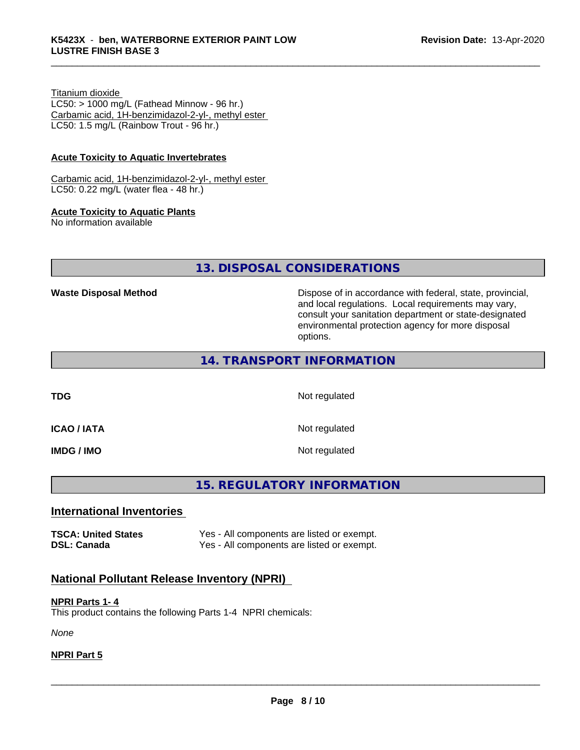### Titanium dioxide

 $LC50:$  > 1000 mg/L (Fathead Minnow - 96 hr.) Carbamic acid, 1H-benzimidazol-2-yl-, methyl ester LC50: 1.5 mg/L (Rainbow Trout - 96 hr.)

### **Acute Toxicity to Aquatic Invertebrates**

Carbamic acid, 1H-benzimidazol-2-yl-, methyl ester LC50: 0.22 mg/L (water flea - 48 hr.)

### **Acute Toxicity to Aquatic Plants**

No information available

**13. DISPOSAL CONSIDERATIONS**

**Waste Disposal Method Dispose of in accordance with federal, state, provincial,** and local regulations. Local requirements may vary, consult your sanitation department or state-designated environmental protection agency for more disposal options.

### **14. TRANSPORT INFORMATION**

**TDG** Not regulated

**ICAO / IATA** Not regulated

**IMDG / IMO** Not regulated

## **15. REGULATORY INFORMATION**

### **International Inventories**

**TSCA: United States** Yes - All components are listed or exempt. **DSL: Canada** Yes - All components are listed or exempt.

# **National Pollutant Release Inventory (NPRI)**

**NPRI Parts 1- 4** This product contains the following Parts 1-4 NPRI chemicals:

*None*

### **NPRI Part 5**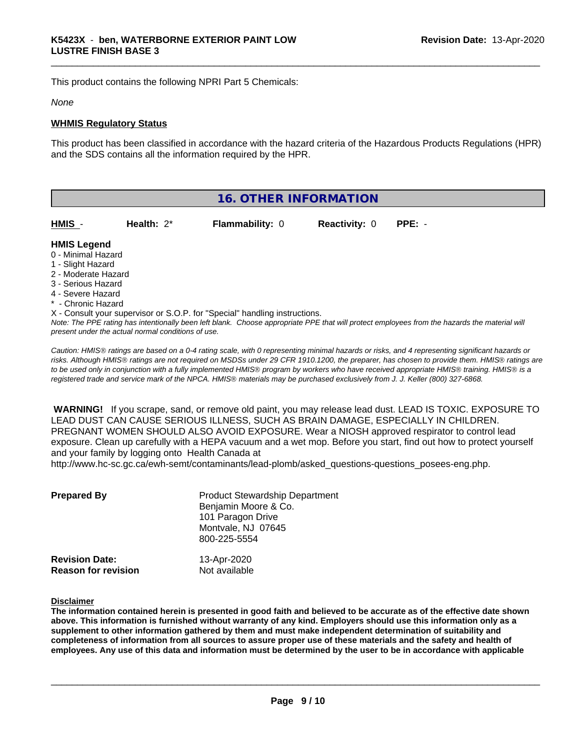This product contains the following NPRI Part 5 Chemicals:

### *None*

### **WHMIS Regulatory Status**

This product has been classified in accordance with the hazard criteria of the Hazardous Products Regulations (HPR) and the SDS contains all the information required by the HPR.

| 16. OTHER INFORMATION                                                                                                                                 |               |                                                                            |                      |                                                                                                                                               |
|-------------------------------------------------------------------------------------------------------------------------------------------------------|---------------|----------------------------------------------------------------------------|----------------------|-----------------------------------------------------------------------------------------------------------------------------------------------|
| HMIS -                                                                                                                                                | Health: $2^*$ | <b>Flammability: 0</b>                                                     | <b>Reactivity: 0</b> | $PPE: -$                                                                                                                                      |
| <b>HMIS Legend</b><br>0 - Minimal Hazard<br>1 - Slight Hazard<br>2 - Moderate Hazard<br>3 - Serious Hazard<br>4 - Severe Hazard<br>* - Chronic Hazard |               | X - Consult your supervisor or S.O.P. for "Special" handling instructions. |                      | Note: The PPE rating has intentionally been left blank. Choose appropriate PPE that will protect employees from the hazards the material will |

*Caution: HMISÒ ratings are based on a 0-4 rating scale, with 0 representing minimal hazards or risks, and 4 representing significant hazards or risks. Although HMISÒ ratings are not required on MSDSs under 29 CFR 1910.1200, the preparer, has chosen to provide them. HMISÒ ratings are to be used only in conjunction with a fully implemented HMISÒ program by workers who have received appropriate HMISÒ training. HMISÒ is a registered trade and service mark of the NPCA. HMISÒ materials may be purchased exclusively from J. J. Keller (800) 327-6868.*

 **WARNING!** If you scrape, sand, or remove old paint, you may release lead dust. LEAD IS TOXIC. EXPOSURE TO LEAD DUST CAN CAUSE SERIOUS ILLNESS, SUCH AS BRAIN DAMAGE, ESPECIALLY IN CHILDREN. PREGNANT WOMEN SHOULD ALSO AVOID EXPOSURE.Wear a NIOSH approved respirator to control lead exposure. Clean up carefully with a HEPA vacuum and a wet mop. Before you start, find out how to protect yourself and your family by logging onto Health Canada at

http://www.hc-sc.gc.ca/ewh-semt/contaminants/lead-plomb/asked\_questions-questions\_posees-eng.php.

| <b>Prepared By</b>         | <b>Product Stewardship Department</b><br>Benjamin Moore & Co.<br>101 Paragon Drive<br>Montvale, NJ 07645<br>800-225-5554 |
|----------------------------|--------------------------------------------------------------------------------------------------------------------------|
| <b>Revision Date:</b>      | 13-Apr-2020                                                                                                              |
| <b>Reason for revision</b> | Not available                                                                                                            |

### **Disclaimer**

The information contained herein is presented in good faith and believed to be accurate as of the effective date shown above. This information is furnished without warranty of any kind. Employers should use this information only as a **supplement to other information gathered by them and must make independent determination of suitability and** completeness of information from all sources to assure proper use of these materials and the safety and health of employees. Any use of this data and information must be determined by the user to be in accordance with applicable